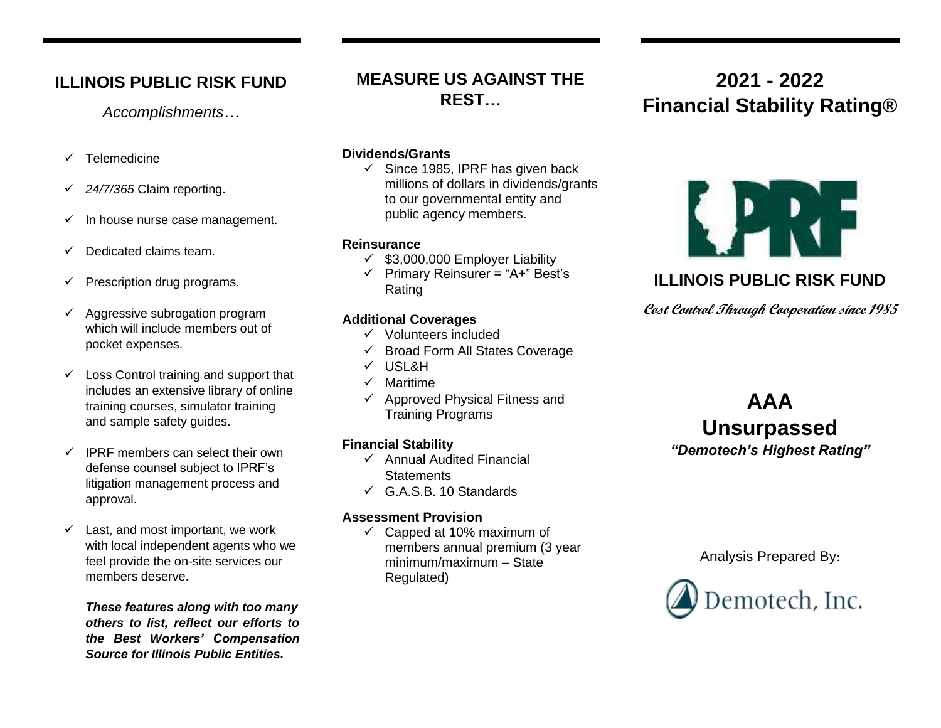## **ILLINOIS PUBLIC RISK FUND**

*Accomplishments…*

- ✓ Telemedicine
- ✓ *24/7/365* Claim reporting.
- $\checkmark$  In house nurse case management.
- ✓ Dedicated claims team.
- $\checkmark$  Prescription drug programs.
- $\checkmark$  Aggressive subrogation program which will include members out of pocket expenses.
- $\checkmark$  Loss Control training and support that includes an extensive library of online training courses, simulator training and sample safety guides.
- $\checkmark$  IPRF members can select their own defense counsel subject to IPRF's litigation management process and approval.
- $\checkmark$  Last, and most important, we work with local independent agents who we feel provide the on-site services our members deserve.

*These features along with too many others to list, reflect our efforts to the Best Workers' Compensation Source for Illinois Public Entities.*

## **MEASURE US AGAINST THE REST…**

### **Dividends/Grants**

 $\checkmark$  Since 1985, IPRF has given back millions of dollars in dividends/grants to our governmental entity and public agency members.

#### **Reinsurance**

- $\checkmark$  \$3,000,000 Employer Liability
- $\checkmark$  Primary Reinsurer = "A+" Best's Rating

### **Additional Coverages**

- ✓ Volunteers included
- ✓ Broad Form All States Coverage
- ✓ USL&H
- ✓ Maritime
- $\checkmark$  Approved Physical Fitness and Training Programs

### **Financial Stability**

- $\checkmark$  Annual Audited Financial **Statements**
- $\checkmark$  G.A.S.B. 10 Standards

### **Assessment Provision**

 $\checkmark$  Capped at 10% maximum of members annual premium (3 year minimum/maximum – State Regulated)

# **2021 - 2022 Financial Stability Rating®**



# **ILLINOIS PUBLIC RISK FUND**

**Cost Control Through Cooperation since 1985**

# **AAA Unsurpassed**

*"Demotech's Highest Rating"*

Analysis Prepared By: